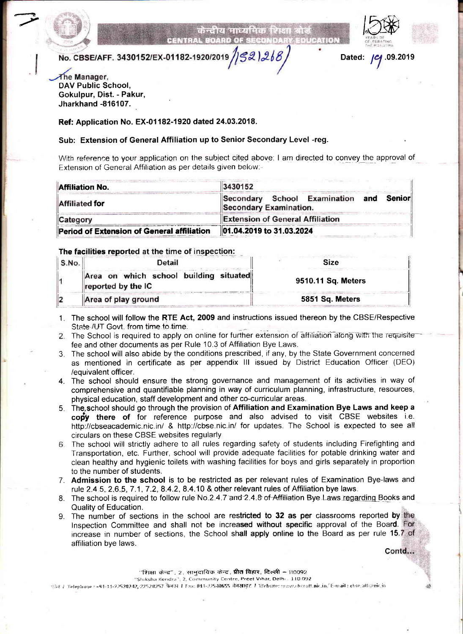

.z

**CARL ROOM AS LEED RENTRAL BOARD OF SECON** 



No. CBSE/AFF. 3430152/EX-01182-1920/2019  $/$ S2)268

Dated: ( C .09.2019

The Manager, DAV Public School, Gokulpur, Dist. - Pakur, Jharkhand -816107.

Ref: Application No. EX-01182-1920 dated 24.03.2018.

# Sub: Extension of General Affiliation up to Senior Secondary Level -reg.

With reference to your application on the subject cited above; I am directed to convey the approval of Extension of General Affiliation as per details given below.-

| <b>Affiliation No.</b>                     | 3430152                                                |  |         |
|--------------------------------------------|--------------------------------------------------------|--|---------|
| <b>Affiliated for</b>                      | Secondary School Examination<br>Secondary Examination. |  | Senior∥ |
| Category                                   | <b>Extension of General Affiliation</b>                |  |         |
| Period of Extension of General affiliation | 01.04.2019 to 31.03.2024                               |  |         |

## The facilities reported at the time of inspection:

| S.No. | Detail                                                       | <b>Size</b>        |  |
|-------|--------------------------------------------------------------|--------------------|--|
|       | Area on which school building situated<br>reported by the IC | 9510.11 Sq. Meters |  |
|       | Area of play ground                                          | 5851 Sq. Meters    |  |

- 1. The school will follow the RTE Act, 2009 and instructions issued thereon by the CBSE/Respective State AJT Govt. from time to time.
- 2. The School is required to apply on online for further extension of affiliation along with the requisite fee and other documents as per Rule 10.3 of Affiliation Bye Laws.
- The school will also abide by the conditions prescribed, if any, by the State Government concerned 3 as mentioned in certificate as per appendix lll issued by District Education Officer (DEO) /equivalent officer.
- 4. The school should ensure the strong governance and management of its activities in way of comprehensive and quantifiable planning in way of curriculum planning, infrastructure, resources, physical education, staff development and other co-curricular areas.
- 5. The school should go through the provision of Affiliation and Examination Bye Laws and keep a cony there of for reference purpose and also advised to visit CBSE websites i.e. http://cbseacademic.nic.in/ & http://cbse nic.in/ for updates. The School is expected to see all circulars on these CBSE websites regularly
- The school will strictly adhere to all rules regarding safety of students including Firefighting and Transportation, etc. Further, school will provide adequate facilities for potable drinking water and clean healthy and hygienic toilets with washing facilities for boys and girls separately in proportion to the number of students.
- 7. Admission to the school is to be restricted as per relevant rules of Examination Bye-laws and rule 2.4 5- 2.6.5, 7 .1 ,7.2, 8.4.2, 8.4.10 & other relevant rules of Affiliation bye laws.
- 8. The school is required to follow rule No.2.4.7 and 2.4.8 of Affiliation Bye Laws regarding Books and Quality of Education.
- 9. The number of sections in the school are restricted to 32 as per classrooms reported by the Inspection Committee and shall not be increased without specific approval of the Board. For increase in number of sections, the School shall apply online to the Board as per rule 15.7 of affiliation bye laws.

Contd...

let be the  $\mathfrak h$ 

"शिक्षा केन्द", 2. सामुदायिक केन्द्र, **प्रीत विहार, दिल्ली –** 110092

"Shiksha Kendra"; 2, Community Centre. Preet Vihar, Delhi : 110 092<br>कोउ / Telephone : +91-11-22520242, 22528257 फैक्स / Fax: 011-22540655 वेबसाइट / Website: www.chceatf.nic.in/ E-mail : chse.atf@nic.in